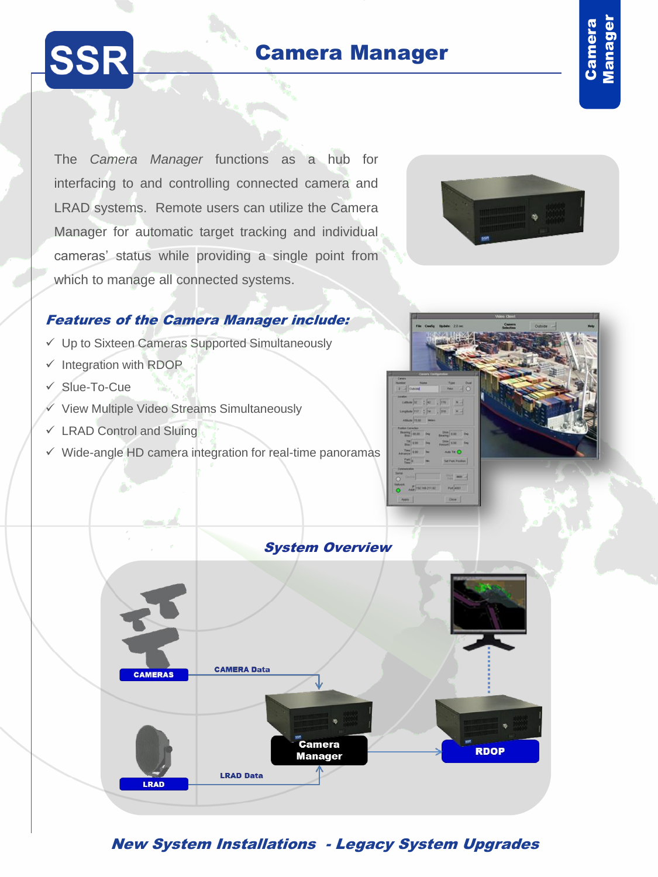# Camera Manager  $\overline{a}$



The *Camera Manager* functions as a hub for interfacing to and controlling connected camera and LRAD systems. Remote users can utilize the Camera Manager for automatic target tracking and individual cameras' status while providing a single point from which to manage all connected systems.



### Features of the Camera Manager include:

- Up to Sixteen Cameras Supported Simultaneously
- $\checkmark$  Integration with RDOP
- Slue-To-Cue
- $\checkmark$  View Multiple Video Streams Simultaneously
- $\checkmark$  LRAD Control and Sluing
- $\checkmark$  Wide-angle HD camera integration for real-time panoramas





# New System Installations - Legacy System Upgrades